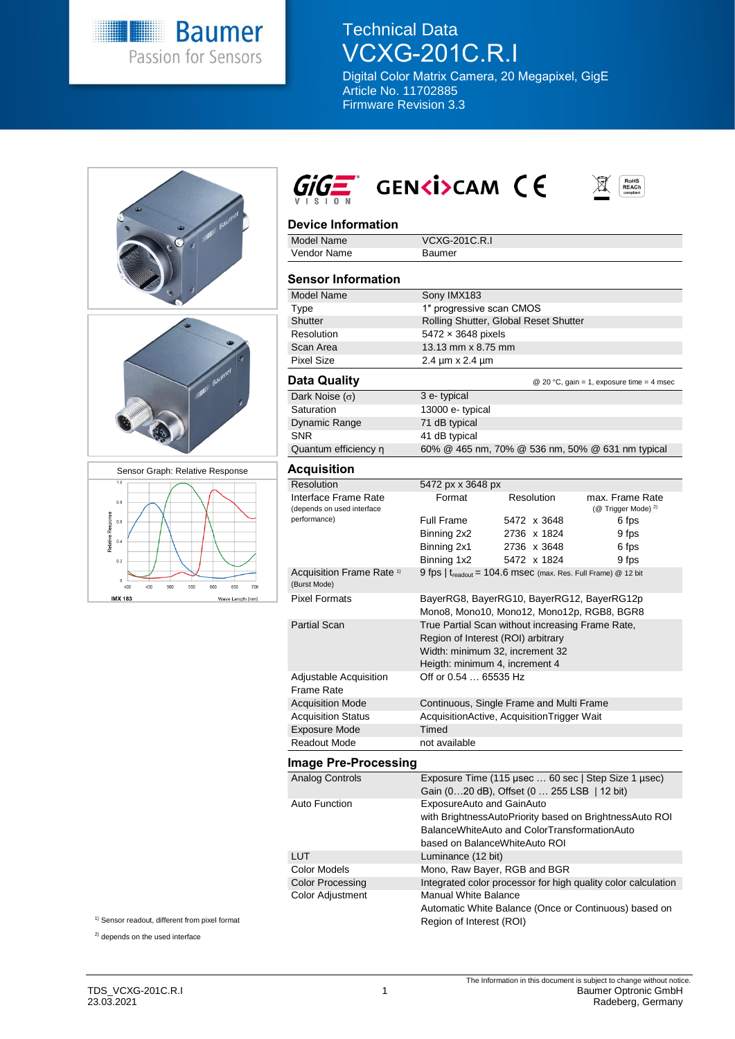

## Technical Data VCXG-201C.R.I

Digital Color Matrix Camera, 20 Megapixel, GigE Article No. 11702885 Firmware Revision 3.3





# $GIG_{\overline{K}}$  GENKI>CAM CE  $\mathbb{E}$



| <b>Model Name</b>                                    | <b>VCXG-201C.R.I</b>                                                      |             |                                                   |
|------------------------------------------------------|---------------------------------------------------------------------------|-------------|---------------------------------------------------|
| Vendor Name                                          | <b>Baumer</b>                                                             |             |                                                   |
|                                                      |                                                                           |             |                                                   |
| <b>Sensor Information</b>                            |                                                                           |             |                                                   |
| <b>Model Name</b>                                    | Sony IMX183                                                               |             |                                                   |
| Type                                                 | 1" progressive scan CMOS                                                  |             |                                                   |
| Shutter                                              | Rolling Shutter, Global Reset Shutter                                     |             |                                                   |
| Resolution                                           | 5472 x 3648 pixels                                                        |             |                                                   |
| Scan Area                                            | 13.13 mm x 8.75 mm                                                        |             |                                                   |
| <b>Pixel Size</b>                                    | 2.4 µm x 2.4 µm                                                           |             |                                                   |
| <b>Data Quality</b>                                  |                                                                           |             | @ 20 °C, gain = 1, exposure time = 4 msec         |
| Dark Noise $(\sigma)$                                | 3 e-typical                                                               |             |                                                   |
| Saturation                                           | 13000 e- typical                                                          |             |                                                   |
| Dynamic Range                                        | 71 dB typical                                                             |             |                                                   |
| <b>SNR</b>                                           | 41 dB typical                                                             |             |                                                   |
| Quantum efficiency n                                 | 60% @ 465 nm, 70% @ 536 nm, 50% @ 631 nm typical                          |             |                                                   |
| Acquisition                                          |                                                                           |             |                                                   |
| Resolution                                           | 5472 px x 3648 px                                                         |             |                                                   |
| Interface Frame Rate<br>(depends on used interface   | Format                                                                    | Resolution  | max. Frame Rate<br>(@ Trigger Mode) <sup>2)</sup> |
| performance)                                         | <b>Full Frame</b>                                                         | 5472 x 3648 | 6 fps                                             |
|                                                      | Binning 2x2                                                               | 2736 x 1824 | 9 fps                                             |
|                                                      | Binning 2x1                                                               | 2736 x 3648 | 6 fps                                             |
|                                                      | Binning 1x2                                                               | 5472 x 1824 | 9 fps                                             |
| Acquisition Frame Rate <sup>1)</sup><br>(Burst Mode) | 9 fps   t <sub>readout</sub> = 104.6 msec (max. Res. Full Frame) @ 12 bit |             |                                                   |
| <b>Pixel Formats</b>                                 | BayerRG8, BayerRG10, BayerRG12, BayerRG12p                                |             |                                                   |
|                                                      | Mono8, Mono10, Mono12, Mono12p, RGB8, BGR8                                |             |                                                   |
| <b>Partial Scan</b>                                  | True Partial Scan without increasing Frame Rate,                          |             |                                                   |
|                                                      | Region of Interest (ROI) arbitrary                                        |             |                                                   |
|                                                      | Width: minimum 32, increment 32                                           |             |                                                   |
|                                                      | Heigth: minimum 4, increment 4                                            |             |                                                   |
| Adjustable Acquisition                               | Off or 0.54  65535 Hz                                                     |             |                                                   |
| <b>Frame Rate</b>                                    |                                                                           |             |                                                   |
| <b>Acquisition Mode</b>                              | Continuous, Single Frame and Multi Frame                                  |             |                                                   |
| <b>Acquisition Status</b>                            | AcquisitionActive, AcquisitionTrigger Wait                                |             |                                                   |
| <b>Exposure Mode</b>                                 | Timed                                                                     |             |                                                   |
| <b>Readout Mode</b>                                  | not available                                                             |             |                                                   |

### **Image Pre-Processing**

| Analog Controls         | Exposure Time (115 µsec  60 sec   Step Size 1 µsec)           |  |
|-------------------------|---------------------------------------------------------------|--|
|                         | Gain (020 dB), Offset (0 255 LSB   12 bit)                    |  |
| Auto Function           | ExposureAuto and GainAuto                                     |  |
|                         | with BrightnessAutoPriority based on BrightnessAuto ROI       |  |
|                         | BalanceWhiteAuto and ColorTransformationAuto                  |  |
|                         | based on BalanceWhiteAuto ROI                                 |  |
| <b>LUT</b>              | Luminance (12 bit)                                            |  |
| Color Models            | Mono, Raw Bayer, RGB and BGR                                  |  |
| <b>Color Processing</b> | Integrated color processor for high quality color calculation |  |
| <b>Color Adjustment</b> | <b>Manual White Balance</b>                                   |  |
|                         | Automatic White Balance (Once or Continuous) based on         |  |
|                         | Region of Interest (ROI)                                      |  |

<sup>1)</sup> Sensor readout, different from pixel format

<sup>2)</sup> depends on the used interface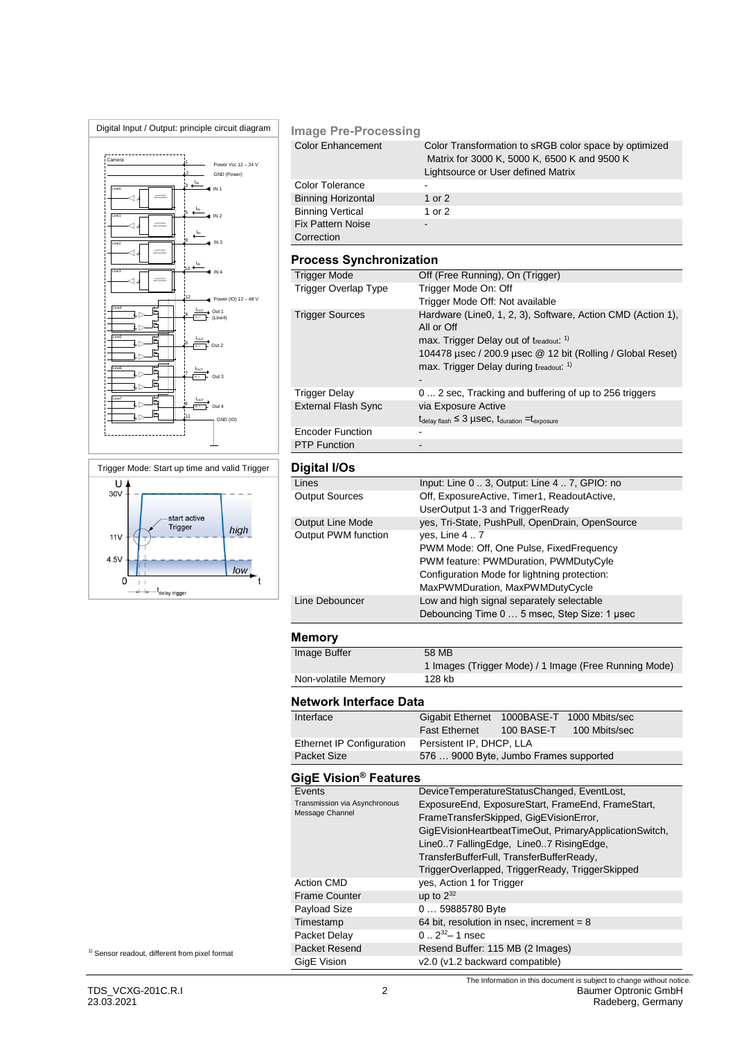



#### **Image Pre-Processing**

| <b>Color Enhancement</b>  | Color Transformation to sRGB color space by optimized<br>Matrix for 3000 K, 5000 K, 6500 K and 9500 K<br>Lightsource or User defined Matrix |
|---------------------------|---------------------------------------------------------------------------------------------------------------------------------------------|
| <b>Color Tolerance</b>    |                                                                                                                                             |
| <b>Binning Horizontal</b> | 1 or $2$                                                                                                                                    |
| <b>Binning Vertical</b>   | 1 or 2                                                                                                                                      |
| <b>Fix Pattern Noise</b>  |                                                                                                                                             |
| Correction                |                                                                                                                                             |

### **Process Synchronization**

| <b>Trigger Mode</b>        | Off (Free Running), On (Trigger)                                                  |
|----------------------------|-----------------------------------------------------------------------------------|
| Trigger Overlap Type       | Trigger Mode On: Off                                                              |
|                            | Trigger Mode Off: Not available                                                   |
| <b>Trigger Sources</b>     | Hardware (Line0, 1, 2, 3), Software, Action CMD (Action 1),<br>All or Off         |
|                            | max. Trigger Delay out of treadout. <sup>1)</sup>                                 |
|                            | 104478 µsec / 200.9 µsec @ 12 bit (Rolling / Global Reset)                        |
|                            | max. Trigger Delay during treadout. 1)                                            |
|                            |                                                                                   |
| <b>Trigger Delay</b>       | 0 2 sec, Tracking and buffering of up to 256 triggers                             |
| <b>External Flash Sync</b> | via Exposure Active                                                               |
|                            | $t_{\text{delay flash}} \leq 3$ µSeC, $t_{\text{duration}} = t_{\text{exposure}}$ |
| <b>Encoder Function</b>    |                                                                                   |
| <b>PTP Function</b>        |                                                                                   |

### **Digital I/Os**

| Lines                   | Input: Line 0  3, Output: Line 4  7, GPIO: no   |
|-------------------------|-------------------------------------------------|
| Output Sources          | Off, ExposureActive, Timer1, ReadoutActive,     |
|                         | UserOutput 1-3 and TriggerReady                 |
| <b>Output Line Mode</b> | yes, Tri-State, PushPull, OpenDrain, OpenSource |
| Output PWM function     | ves, Line 4  7                                  |
|                         | PWM Mode: Off, One Pulse, FixedFrequency        |
|                         | PWM feature: PWMDuration, PWMDutyCyle           |
|                         | Configuration Mode for lightning protection:    |
|                         | MaxPWMDuration, MaxPWMDutyCycle                 |
| Line Debouncer          | Low and high signal separately selectable       |
|                         | Debouncing Time 0  5 msec, Step Size: 1 usec    |
|                         |                                                 |

#### **Memory**

 $\overline{\phantom{a}}$ 

| Image Buffer        | 58 MB                                                 |
|---------------------|-------------------------------------------------------|
|                     | 1 Images (Trigger Mode) / 1 Image (Free Running Mode) |
| Non-volatile Memory | 128 kb                                                |

#### **Network Interface Data**

| Network Interface Data            |                                                       |            |                |
|-----------------------------------|-------------------------------------------------------|------------|----------------|
| Interface                         | <b>Gigabit Ethernet</b>                               | 1000BASE-T | 1000 Mbits/sec |
|                                   | <b>Fast Ethernet</b>                                  | 100 BASE-T | 100 Mbits/sec  |
| Ethernet IP Configuration         | Persistent IP, DHCP, LLA                              |            |                |
| <b>Packet Size</b>                | 576  9000 Byte, Jumbo Frames supported                |            |                |
| GigE Vision <sup>®</sup> Features |                                                       |            |                |
| Events                            | DeviceTemperatureStatusChanged, EventLost,            |            |                |
| Transmission via Asynchronous     | ExposureEnd, ExposureStart, FrameEnd, FrameStart,     |            |                |
| Message Channel                   | FrameTransferSkipped, GigEVisionError,                |            |                |
|                                   | GigEVisionHeartbeatTimeOut, PrimaryApplicationSwitch, |            |                |
|                                   | Line07 FallingEdge, Line07 RisingEdge,                |            |                |
|                                   | TransferBufferFull, TransferBufferReady,              |            |                |
|                                   | TriggerOverlapped, TriggerReady, TriggerSkipped       |            |                |
| <b>Action CMD</b>                 | yes, Action 1 for Trigger                             |            |                |
| <b>Frame Counter</b>              | up to $2^{32}$                                        |            |                |
| Payload Size                      | 0 59885780 Byte                                       |            |                |
| Timestamp                         | 64 bit, resolution in nsec, increment = $8$           |            |                |
| Packet Delay                      | $0.2^{32} - 1$ nsec                                   |            |                |
| Packet Resend                     | Resend Buffer: 115 MB (2 Images)                      |            |                |
| GigE Vision                       | v2.0 (v1.2 backward compatible)                       |            |                |

<sup>1)</sup> Sensor readout, different from pixel format

The Information in this document is subject to change without notice.<br>TDS\_VCXG-201C.R.I Baumer Optronic GmbH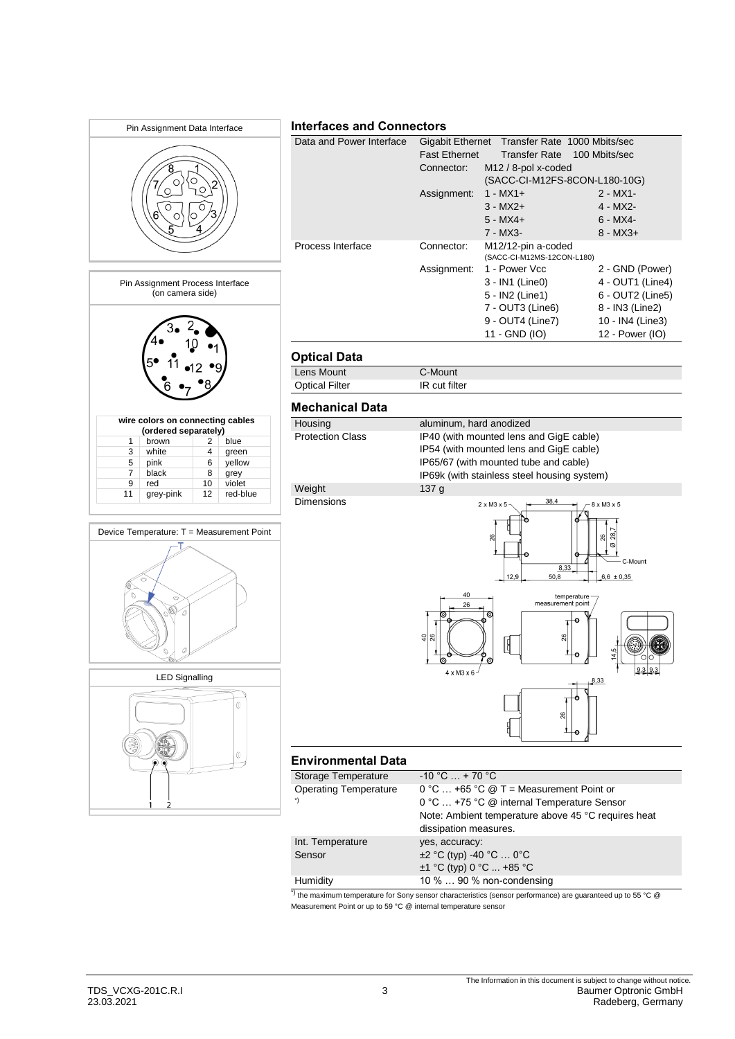

\*) the maximum temperature for Sony sensor characteristics (sensor performance) are guaranteed up to 55 °C @ Measurement Point or up to 59 °C @ internal temperature sensor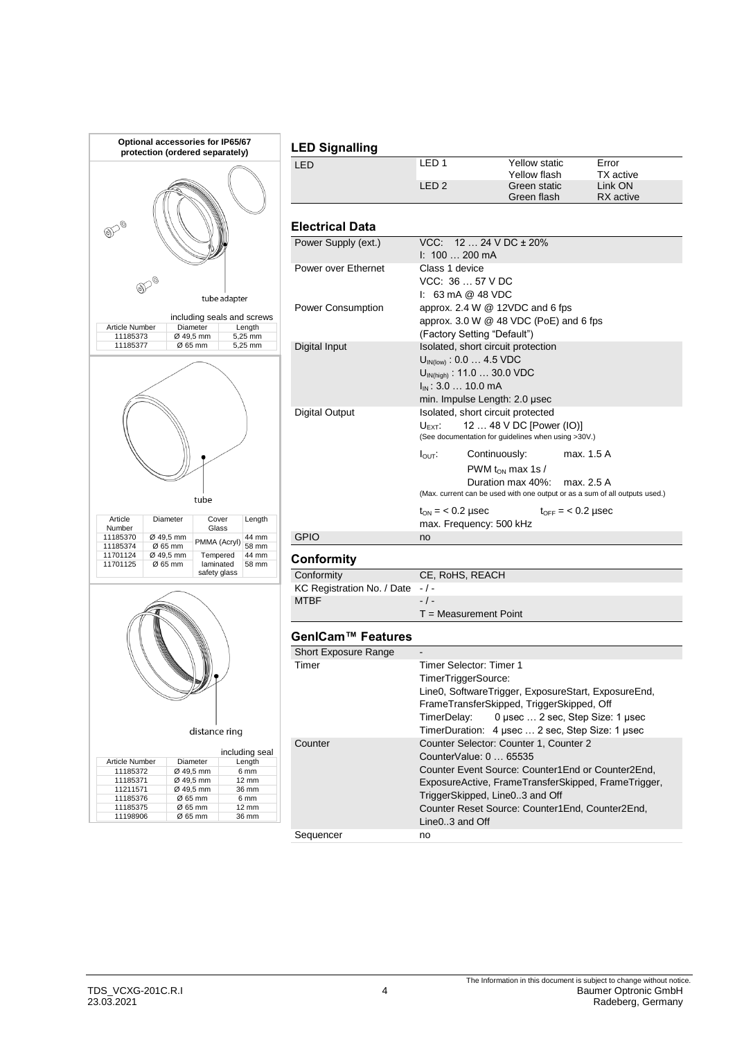

Sequencer no